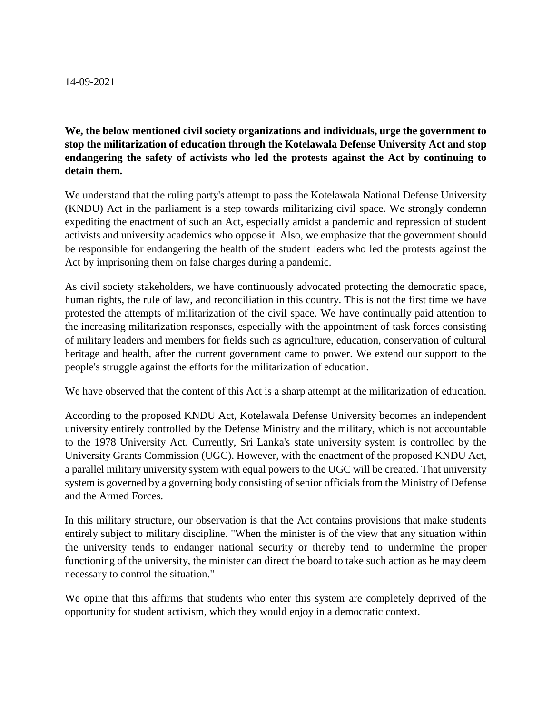## 14-09-2021

**We, the below mentioned civil society organizations and individuals, urge the government to stop the militarization of education through the Kotelawala Defense University Act and stop endangering the safety of activists who led the protests against the Act by continuing to detain them.**

We understand that the ruling party's attempt to pass the Kotelawala National Defense University (KNDU) Act in the parliament is a step towards militarizing civil space. We strongly condemn expediting the enactment of such an Act, especially amidst a pandemic and repression of student activists and university academics who oppose it. Also, we emphasize that the government should be responsible for endangering the health of the student leaders who led the protests against the Act by imprisoning them on false charges during a pandemic.

As civil society stakeholders, we have continuously advocated protecting the democratic space, human rights, the rule of law, and reconciliation in this country. This is not the first time we have protested the attempts of militarization of the civil space. We have continually paid attention to the increasing militarization responses, especially with the appointment of task forces consisting of military leaders and members for fields such as agriculture, education, conservation of cultural heritage and health, after the current government came to power. We extend our support to the people's struggle against the efforts for the militarization of education.

We have observed that the content of this Act is a sharp attempt at the militarization of education.

According to the proposed KNDU Act, Kotelawala Defense University becomes an independent university entirely controlled by the Defense Ministry and the military, which is not accountable to the 1978 University Act. Currently, Sri Lanka's state university system is controlled by the University Grants Commission (UGC). However, with the enactment of the proposed KNDU Act, a parallel military university system with equal powers to the UGC will be created. That university system is governed by a governing body consisting of senior officials from the Ministry of Defense and the Armed Forces.

In this military structure, our observation is that the Act contains provisions that make students entirely subject to military discipline. "When the minister is of the view that any situation within the university tends to endanger national security or thereby tend to undermine the proper functioning of the university, the minister can direct the board to take such action as he may deem necessary to control the situation."

We opine that this affirms that students who enter this system are completely deprived of the opportunity for student activism, which they would enjoy in a democratic context.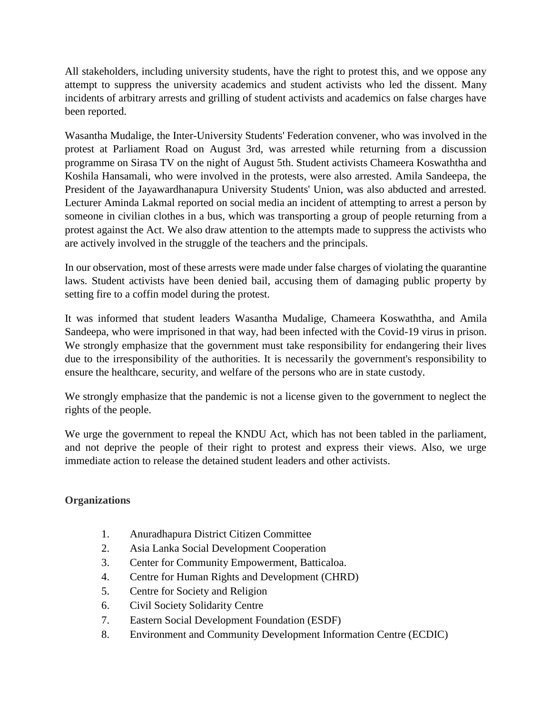All stakeholders, including university students, have the right to protest this, and we oppose any attempt to suppress the university academics and student activists who led the dissent. Many incidents of arbitrary arrests and grilling of student activists and academics on false charges have been reported.

Wasantha Mudalige, the Inter-University Students' Federation convener, who was involved in the protest at Parliament Road on August 3rd, was arrested while returning from a discussion programme on Sirasa TV on the night of August 5th. Student activists Chameera Koswaththa and Koshila Hansamali, who were involved in the protests, were also arrested. Amila Sandeepa, the President of the Jayawardhanapura University Students' Union, was also abducted and arrested. Lecturer Aminda Lakmal reported on social media an incident of attempting to arrest a person by someone in civilian clothes in a bus, which was transporting a group of people returning from a protest against the Act. We also draw attention to the attempts made to suppress the activists who are actively involved in the struggle of the teachers and the principals.

In our observation, most of these arrests were made under false charges of violating the quarantine laws. Student activists have been denied bail, accusing them of damaging public property by setting fire to a coffin model during the protest.

It was informed that student leaders Wasantha Mudalige, Chameera Koswaththa, and Amila Sandeepa, who were imprisoned in that way, had been infected with the Covid-19 virus in prison. We strongly emphasize that the government must take responsibility for endangering their lives due to the irresponsibility of the authorities. It is necessarily the government's responsibility to ensure the healthcare, security, and welfare of the persons who are in state custody.

We strongly emphasize that the pandemic is not a license given to the government to neglect the rights of the people.

We urge the government to repeal the KNDU Act, which has not been tabled in the parliament, and not deprive the people of their right to protest and express their views. Also, we urge immediate action to release the detained student leaders and other activists.

## **Organizations**

- 1. Anuradhapura District Citizen Committee
- 2. Asia Lanka Social Development Cooperation
- 3. Center for Community Empowerment, Batticaloa.
- 4. Centre for Human Rights and Development (CHRD)
- 5. Centre for Society and Religion
- 6. Civil Society Solidarity Centre
- 7. Eastern Social Development Foundation (ESDF)
- 8. Environment and Community Development Information Centre (ECDIC)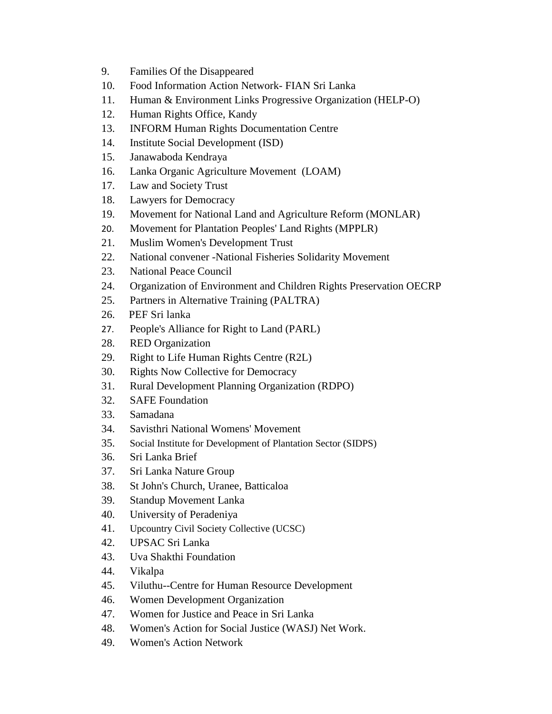- 9. Families Of the Disappeared
- 10. Food Information Action Network- FIAN Sri Lanka
- 11. Human & Environment Links Progressive Organization (HELP-O)
- 12. Human Rights Office, Kandy
- 13. INFORM Human Rights Documentation Centre
- 14. Institute Social Development (ISD)
- 15. Janawaboda Kendraya
- 16. Lanka Organic Agriculture Movement (LOAM)
- 17. Law and Society Trust
- 18. Lawyers for Democracy
- 19. Movement for National Land and Agriculture Reform (MONLAR)
- 20. Movement for Plantation Peoples' Land Rights (MPPLR)
- 21. Muslim Women's Development Trust
- 22. National convener -National Fisheries Solidarity Movement
- 23. National Peace Council
- 24. Organization of Environment and Children Rights Preservation OECRP
- 25. Partners in Alternative Training (PALTRA)
- 26. PEF Sri lanka
- 27. People's Alliance for Right to Land (PARL)
- 28. RED Organization
- 29. Right to Life Human Rights Centre (R2L)
- 30. Rights Now Collective for Democracy
- 31. Rural Development Planning Organization (RDPO)
- 32. SAFE Foundation
- 33. Samadana
- 34. Savisthri National Womens' Movement
- 35. Social Institute for Development of Plantation Sector (SIDPS)
- 36. Sri Lanka Brief
- 37. Sri Lanka Nature Group
- 38. St John's Church, Uranee, Batticaloa
- 39. Standup Movement Lanka
- 40. University of Peradeniya
- 41. Upcountry Civil Society Collective (UCSC)
- 42. UPSAC Sri Lanka
- 43. Uva Shakthi Foundation
- 44. Vikalpa
- 45. Viluthu--Centre for Human Resource Development
- 46. Women Development Organization
- 47. Women for Justice and Peace in Sri Lanka
- 48. Women's Action for Social Justice (WASJ) Net Work.
- 49. Women's Action Network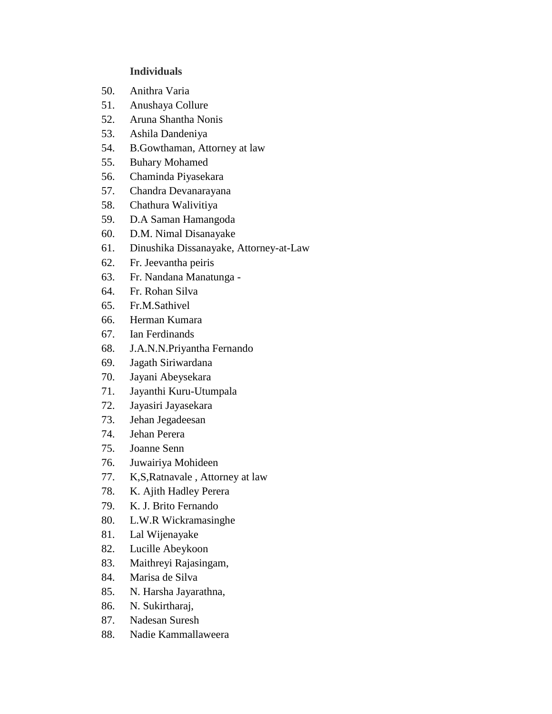## **Individuals**

- 50. Anithra Varia
- 51. Anushaya Collure
- 52. Aruna Shantha Nonis
- 53. Ashila Dandeniya
- 54. B.Gowthaman, Attorney at law
- 55. Buhary Mohamed
- 56. Chaminda Piyasekara
- 57. Chandra Devanarayana
- 58. Chathura Walivitiya
- 59. D.A Saman Hamangoda
- 60. D.M. Nimal Disanayake
- 61. Dinushika Dissanayake, Attorney-at-Law
- 62. Fr. Jeevantha peiris
- 63. Fr. Nandana Manatunga -
- 64. Fr. Rohan Silva
- 65. Fr.M.Sathivel
- 66. Herman Kumara
- 67. Ian Ferdinands
- 68. J.A.N.N.Priyantha Fernando
- 69. Jagath Siriwardana
- 70. Jayani Abeysekara
- 71. Jayanthi Kuru-Utumpala
- 72. Jayasiri Jayasekara
- 73. Jehan Jegadeesan
- 74. Jehan Perera
- 75. Joanne Senn
- 76. Juwairiya Mohideen
- 77. K,S,Ratnavale , Attorney at law
- 78. K. Ajith Hadley Perera
- 79. K. J. Brito Fernando
- 80. L.W.R Wickramasinghe
- 81. Lal Wijenayake
- 82. Lucille Abeykoon
- 83. Maithreyi Rajasingam,
- 84. Marisa de Silva
- 85. N. Harsha Jayarathna,
- 86. N. Sukirtharaj,
- 87. Nadesan Suresh
- 88. Nadie Kammallaweera